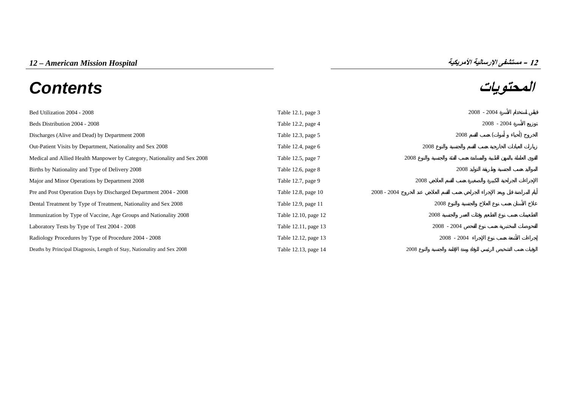# **المحتويات** *Contents*



[Bed Utilization 2004 - 2008 Table 12.1, page 3 2008](#page-2-0) - 2004 Beds Distribution 2004 - 2008 - 2004 2008 - 2004 2008 - 2004 2008 - 2004 2008 - 2004 2008 - 2004 Discharges (Alive and Dead) by Department 2008 () and Dead is not all the 12.3, page 5 2008 () and Dead is not all the 12.3, page 5 2008 () and Dead is not all the 12.3, page 5 2008 () and Dead is not all the 12.3, page 5 [Out-Patient Visits by Department, Nationality and Sex 2008 Table 12.4, page 6 2008](#page-5-0) [Medical and Allied Health Manpower by Category, Nationality and Sex 2008 Table 12.5, page 7 2008](#page-6-0) Births by Nationality and Type of Delivery 2008 2008 Table 12.6, page 8 2008 Major and Minor Operations by Department 2008 2008 Table 12.7, page 9 2008 [Pre and Post Operation Days by Discharged Department 2004 - 2008 Table 12.8, page 10 2008](#page-9-0) - 2008 - 2004 - 2008 [Dental Treatment by Type of Treatment, Nationality and Sex 2008 Table 12.9, page 11 2008](#page-10-0) [Immunization by Type of Vaccine, Age Groups and Nationality 2008 Table 12.10, page 12 2008](#page-11-0) Laboratory Tests by Type of Test 2004 - 2008  $\blacksquare$  2008 - 2008 - 2004  $\blacksquare$ [Radiology Procedures by Type of Procedure 2004 - 2008 Table 12.12, page 13 2008](#page-12-0) - 2004 - 2008 - 2004 [Deaths by Principal Diagnosis, Length of Stay, Nationality and Sex 2008](#page-13-0) Table 12.13, page 14 2008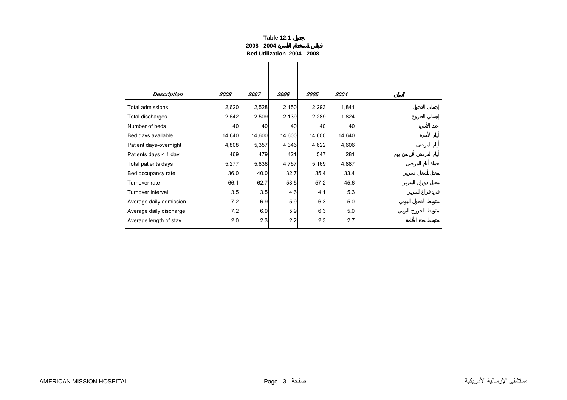#### **Table 12.1 2008 - 2004Bed Utilization 2004 - 2008**

<span id="page-2-0"></span>

| <b>Description</b>      | 2008   | 2007   | 2006   | 2005   | 2004   |
|-------------------------|--------|--------|--------|--------|--------|
| Total admissions        | 2,620  | 2,528  | 2,150  | 2,293  | 1,841  |
| Total discharges        | 2,642  | 2,509  | 2,139  | 2,289  | 1,824  |
| Number of beds          | 40     | 40     | 40     | 40     | 40     |
| Bed days available      | 14,640 | 14,600 | 14,600 | 14,600 | 14,640 |
| Patient days-overnight  | 4,808  | 5,357  | 4,346  | 4,622  | 4,606  |
| Patients days < 1 day   | 469    | 479    | 421    | 547    | 281    |
| Total patients days     | 5,277  | 5,836  | 4,767  | 5,169  | 4,887  |
| Bed occupancy rate      | 36.0   | 40.0   | 32.7   | 35.4   | 33.4   |
| Turnover rate           | 66.1   | 62.7   | 53.5   | 57.2   | 45.6   |
| Turnover interval       | 3.5    | 3.5    | 4.6    | 4.1    | 5.3    |
| Average daily admission | 7.2    | 6.9    | 5.9    | 6.3    | 5.0    |
| Average daily discharge | 7.2    | 6.9    | 5.9    | 6.3    | 5.0    |
| Average length of stay  | 2.0    | 2.3    | 2.2    | 2.3    | 2.7    |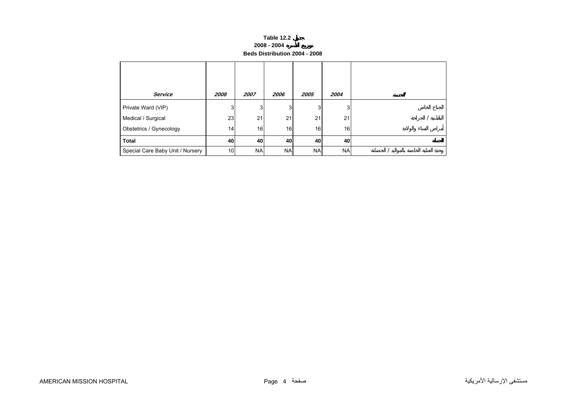#### **Table 12.2 2008 - 2004 Beds Distribution 2004 - 2008**

<span id="page-3-0"></span>

| <b>Service</b>                   | 2008            | 2007      | 2006      | 2005      | 2004      |  |
|----------------------------------|-----------------|-----------|-----------|-----------|-----------|--|
| Private Ward (VIP)               | 3               | 3         | 3         | 3         | 3         |  |
| Medical / Surgical               | 23              | 21        | 21        | 21        | 21        |  |
| Obstetrics / Gynecology          | 14              | 16        | 16        | 16        | 16        |  |
| <b>Total</b>                     | 40              | 40        | 40        | 40        | 40        |  |
| Special Care Baby Unit / Nursery | 10 <sub>1</sub> | <b>NA</b> | <b>NA</b> | <b>NA</b> | <b>NA</b> |  |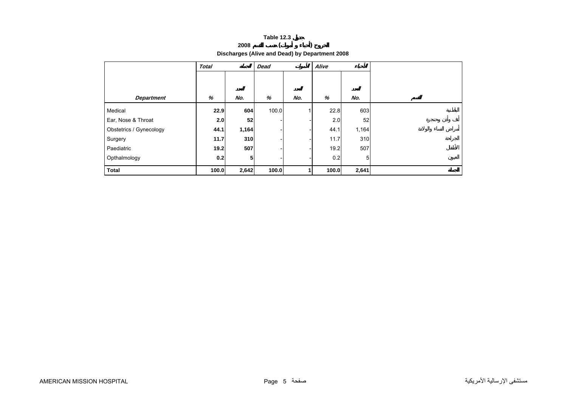|                                                | <b>Table 12.3</b> |  |
|------------------------------------------------|-------------------|--|
| 2008                                           |                   |  |
| Discharges (Alive and Dead) by Department 2008 |                   |  |

<span id="page-4-0"></span>

|                         | <b>Total</b> |                | <b>Dead</b> |     | Alive |       |  |
|-------------------------|--------------|----------------|-------------|-----|-------|-------|--|
|                         |              |                |             |     |       |       |  |
|                         |              |                |             |     |       |       |  |
| <b>Department</b>       | %            | No.            | %           | No. | %     | No.   |  |
| Medical                 | 22.9         | 604            | 100.0       |     | 22.8  | 603   |  |
| Ear, Nose & Throat      | 2.0          | 52             |             |     | 2.0   | 52    |  |
| Obstetrics / Gynecology | 44.1         | 1,164          |             |     | 44.1  | 1,164 |  |
| Surgery                 | 11.7         | 310            |             |     | 11.7  | 310   |  |
| Paediatric              | 19.2         | 507            |             |     | 19.2  | 507   |  |
| Opthalmology            | 0.2          | 5 <sub>1</sub> |             |     | 0.2   | 5     |  |
| <b>Total</b>            | 100.0        | 2,642          | 100.0       |     | 100.0 | 2,641 |  |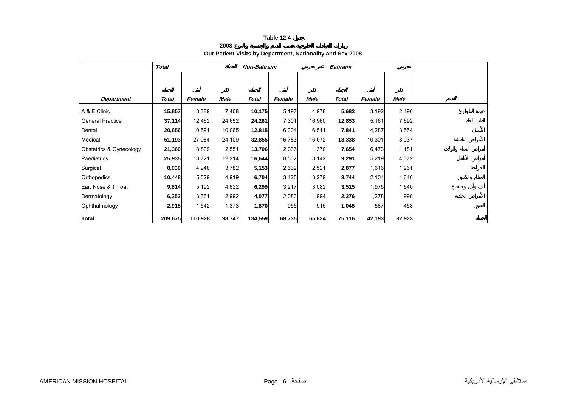**2008**

# **Out-Patient Visits by Department, Nationality and Sex 2008**

<span id="page-5-0"></span>

|                         | <b>Total</b> |         |             | Non-Bahraini |        |        | <b>Bahraini</b> |        |        |
|-------------------------|--------------|---------|-------------|--------------|--------|--------|-----------------|--------|--------|
|                         |              |         |             |              |        |        |                 |        |        |
|                         |              |         |             |              |        |        |                 |        |        |
| Department              | Total        | Female  | <b>Male</b> | <b>Total</b> | Female | Male   | <b>Total</b>    | Female | Male   |
| A & E Clinic            | 15,857       | 8,389   | 7,468       | 10,175       | 5,197  | 4,978  | 5,682           | 3,192  | 2,490  |
| <b>General Practice</b> | 37,114       | 12,462  | 24,652      | 24,261       | 7,301  | 16,960 | 12,853          | 5,161  | 7,692  |
| Dental                  | 20,656       | 10,591  | 10,065      | 12,815       | 6,304  | 6,511  | 7,841           | 4,287  | 3,554  |
| Medical                 | 51,193       | 27,084  | 24,109      | 32,855       | 16,783 | 16,072 | 18,338          | 10,301 | 8,037  |
| Obstetrics & Gynecology | 21,360       | 18,809  | 2,551       | 13,706       | 12,336 | 1,370  | 7,654           | 6,473  | 1,181  |
| Paediatrics             | 25,935       | 13,721  | 12,214      | 16,644       | 8,502  | 8,142  | 9,291           | 5,219  | 4,072  |
| Surgical                | 8,030        | 4,248   | 3,782       | 5,153        | 2,632  | 2,521  | 2,877           | 1,616  | 1,261  |
| Orthopedics             | 10,448       | 5,529   | 4,919       | 6,704        | 3,425  | 3,279  | 3,744           | 2,104  | 1,640  |
| Ear, Nose & Throat      | 9,814        | 5,192   | 4,622       | 6,299        | 3,217  | 3,082  | 3,515           | 1,975  | 1,540  |
| Dermatology             | 6,353        | 3,361   | 2,992       | 4,077        | 2,083  | 1,994  | 2,276           | 1,278  | 998    |
| Ophthalmology           | 2,915        | 1,542   | 1,373       | 1,870        | 955    | 915    | 1,045           | 587    | 458    |
| Total                   | 209,675      | 110,928 | 98,747      | 134,559      | 68,735 | 65,824 | 75,116          | 42,193 | 32,923 |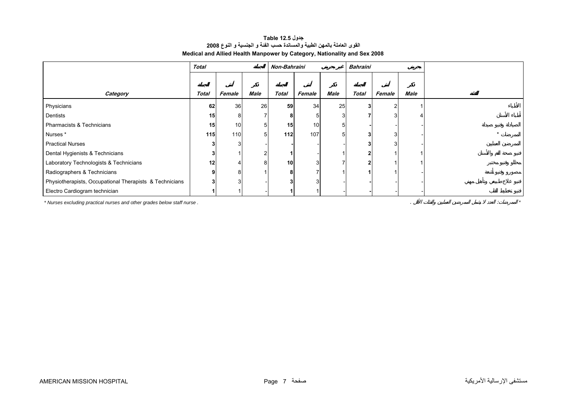### **جدول 12.5 Table القوى العاملة بالمهن الطبية والمساندة حسب الفئة <sup>و</sup> الجنسية <sup>و</sup> النوع <sup>2008</sup> Medical and Allied Health Manpower by Category, Nationality and Sex 2008**

<span id="page-6-0"></span>

|                                                         | <b>Total</b> |        |      |       | <b>Non-Bahraini</b> |      | <b>Bahraini</b> |        |      |  |
|---------------------------------------------------------|--------------|--------|------|-------|---------------------|------|-----------------|--------|------|--|
|                                                         |              |        |      |       |                     |      |                 |        |      |  |
| Category                                                | <b>Total</b> | Female | Male | Total | Female              | Male | Total           | Female | Male |  |
| Physicians                                              | 62           | 36     | 26   | 59    | 34                  | 25   |                 |        |      |  |
| Dentists                                                | 15           | 8      |      | 8     |                     |      |                 |        |      |  |
| Pharmacists & Technicians                               | 15           | 10     | 5    | 15    | 10 <sup>1</sup>     |      |                 |        |      |  |
| Nurses*                                                 | 115          | 110    | 5    | 112   | 107                 |      |                 |        |      |  |
| <b>Practical Nurses</b>                                 |              |        |      |       |                     |      |                 |        |      |  |
| Dental Hygienists & Technicians                         | 3            |        |      |       |                     |      |                 |        |      |  |
| Laboratory Technologists & Technicians                  | 12           |        | 8    | 10    |                     |      |                 |        |      |  |
| Radiographers & Technicians                             | 9            | 8      |      | 8     |                     |      |                 |        |      |  |
| Physiotherapists, Occupational Therapists & Technicians | 3            | 3      |      |       |                     |      |                 |        |      |  |
| Electro Cardiogram technician                           |              |        |      |       |                     |      |                 |        |      |  |

*\* Nurses excluding practical nurses and other grades below staff nurse .* . : *\**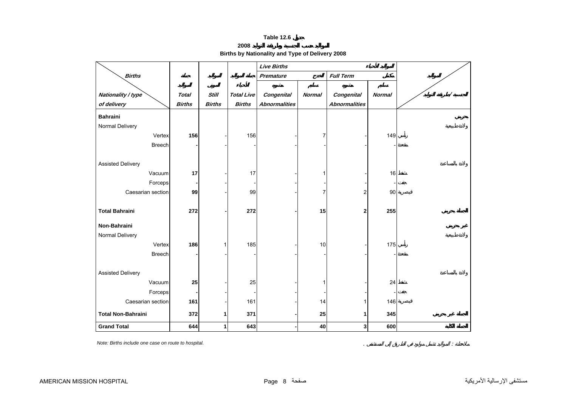**2008**

**Births by Nationality and Type of Delivery 2008** 

<span id="page-7-0"></span>

|                           |               |               |                   | <b>Live Births</b>   |                  |                         |               |          |
|---------------------------|---------------|---------------|-------------------|----------------------|------------------|-------------------------|---------------|----------|
| <b>Births</b>             |               |               |                   | <b>Premature</b>     | <b>Full Term</b> |                         |               |          |
|                           |               |               |                   |                      |                  |                         |               |          |
| Nationality / type        | <b>Total</b>  | <b>Still</b>  | <b>Total Live</b> | Congenital           | <b>Normal</b>    | <b>Congenital</b>       | <b>Normal</b> | $\prime$ |
| of delivery               | <b>Births</b> | <b>Births</b> | <b>Births</b>     | <b>Abnormalities</b> |                  | <b>Abnormalities</b>    |               |          |
| <b>Bahraini</b>           |               |               |                   |                      |                  |                         |               |          |
| Normal Delivery           |               |               |                   |                      |                  |                         |               |          |
| Vertex                    | 156           |               | 156               |                      | 7                |                         | 149           |          |
| <b>Breech</b>             |               |               |                   |                      |                  |                         |               |          |
|                           |               |               |                   |                      |                  |                         |               |          |
| <b>Assisted Delivery</b>  |               |               |                   |                      |                  |                         |               |          |
| Vacuum                    | 17            |               | 17                |                      |                  |                         | 16            |          |
| Forceps                   |               |               |                   |                      |                  |                         |               |          |
| Caesarian section         | 99            |               | 99                |                      |                  | $\overline{\mathbf{c}}$ | 90            |          |
|                           |               |               |                   |                      |                  |                         |               |          |
| <b>Total Bahraini</b>     | 272           |               | 272               |                      | 15               | 2                       | 255           |          |
| Non-Bahraini              |               |               |                   |                      |                  |                         |               |          |
| Normal Delivery           |               |               |                   |                      |                  |                         |               |          |
| Vertex                    | 186           | 1             | 185               |                      | 10               |                         | 175           |          |
|                           |               |               |                   |                      |                  |                         |               |          |
| <b>Breech</b>             |               |               |                   |                      |                  |                         |               |          |
| <b>Assisted Delivery</b>  |               |               |                   |                      |                  |                         |               |          |
| Vacuum                    | 25            |               | 25                |                      |                  |                         | 24            |          |
| Forceps                   |               |               |                   |                      |                  |                         |               |          |
| Caesarian section         | 161           |               | 161               |                      | 14               | 1                       | 146           |          |
|                           |               |               |                   |                      |                  |                         |               |          |
| <b>Total Non-Bahraini</b> | 372           | 1             | 371               |                      | 25               | 1                       | 345           |          |
| <b>Grand Total</b>        | 644           | 1             | 643               |                      | 40               | $\mathbf{3}$            | 600           |          |

*Note: Births include one case on route to hospital.* . :

مستشفى الإرسالية الأمريكية صفحة 8 Page HOSPITAL MISSION AMERICAN

 $\mathcal{L}^{\mathcal{L}}$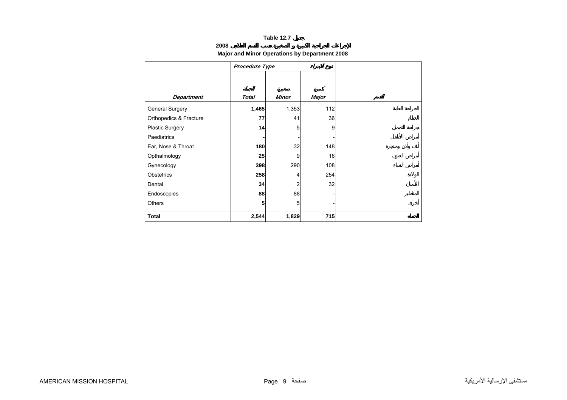# **2008**

# **Major and Minor Operations by Department 2008**

<span id="page-8-0"></span>

|                        | Procedure Type |                |       |  |
|------------------------|----------------|----------------|-------|--|
|                        |                |                |       |  |
|                        |                |                |       |  |
| <b>Department</b>      | <b>Total</b>   | <b>Minor</b>   | Major |  |
| General Surgery        | 1,465          | 1,353          | 112   |  |
| Orthopedics & Fracture | 77             | 41             | 36    |  |
| Plastic Surgery        | 14             | 5              | 9     |  |
| <b>Paediatrics</b>     |                |                |       |  |
| Ear, Nose & Throat     | 180            | 32             | 148   |  |
| Opthalmology           | 25             | 9              | 16    |  |
| Gynecology             | 398            | 290            | 108   |  |
| Obstetrics             | 258            | 4              | 254   |  |
| Dental                 | 34             | $\overline{2}$ | 32    |  |
| Endoscopies            | 88             | 88             |       |  |
| <b>Others</b>          | 5              | 5              |       |  |
| <b>Total</b>           | 2,544          | 1,829          | 715   |  |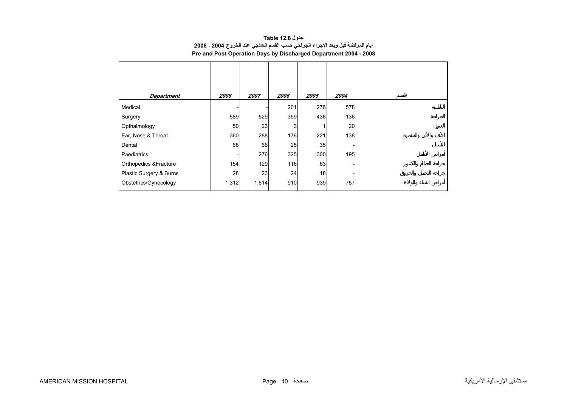| جدول Table 12.8                                                                |
|--------------------------------------------------------------------------------|
| أيام المراضة قبل وبعد الإجراء الجراحي حسب القسم العلاجي عند الخروج 2004 - 2008 |
| Pre and Post Operation Days by Discharged Department 2004 - 2008               |

<span id="page-9-0"></span>

| <b>Department</b>       | 2008  | 2007  | 2006 | 2005 | 2004 | القسم |
|-------------------------|-------|-------|------|------|------|-------|
| Medical                 |       |       | 201  | 276  | 578  |       |
| Surgery                 | 589   | 529   | 359  | 436  | 136  |       |
| Opthalmology            | 50    | 23    | 3    |      | 20   |       |
| Ear, Nose & Throat      | 360   | 288   | 176  | 221  | 138  |       |
| Dental                  | 68    | 66    | 25   | 35   |      |       |
| Paediatrics             |       | 276   | 325  | 300  | 195  |       |
| Orthopedics & Fracture  | 154   | 129   | 116  | 63   |      |       |
| Plastic Surgery & Burns | 28    | 23    | 24   | 18   |      |       |
| Obstetrics/Gynecology   | 1,312 | 1,614 | 910  | 939  | 757  |       |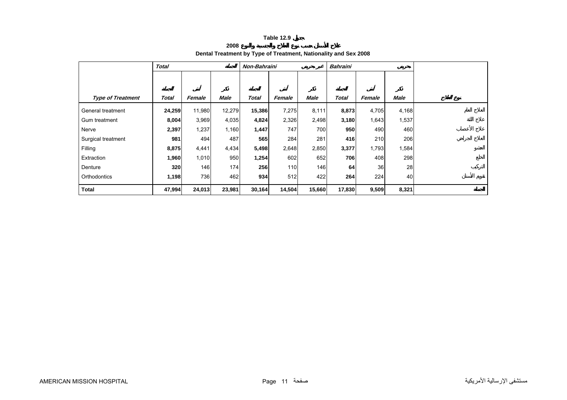**2008**

| Dental Treatment by Type of Treatment, Nationality and Sex 2008 |  |
|-----------------------------------------------------------------|--|

<span id="page-10-0"></span>

|                          | <b>Total</b> |        |             | Non-Bahraini |        |        | <b>Bahraini</b> |        |       |  |
|--------------------------|--------------|--------|-------------|--------------|--------|--------|-----------------|--------|-------|--|
|                          |              |        |             |              |        |        |                 |        |       |  |
|                          |              |        |             |              |        |        |                 |        |       |  |
| <b>Type of Treatment</b> | Total        | Female | <b>Male</b> | <b>Total</b> | Female | Male   | <b>Total</b>    | Female | Male  |  |
| General treatment        | 24,259       | 11,980 | 12,279      | 15,386       | 7,275  | 8,111  | 8,873           | 4,705  | 4,168 |  |
| Gum treatment            | 8,004        | 3,969  | 4,035       | 4,824        | 2,326  | 2,498  | 3,180           | 1,643  | 1,537 |  |
| Nerve                    | 2,397        | 1,237  | 1,160       | 1,447        | 747    | 700    | 950             | 490    | 460   |  |
| Surgical treatment       | 981          | 494    | 487         | 565          | 284    | 281    | 416             | 210    | 206   |  |
| Filling                  | 8,875        | 4,441  | 4,434       | 5,498        | 2,648  | 2,850  | 3,377           | 1,793  | 1,584 |  |
| Extraction               | 1,960        | 1,010  | 950         | 1,254        | 602    | 652    | 706             | 408    | 298   |  |
| Denture                  | 320          | 146    | 174         | 256          | 110    | 146    | 64              | 36     | 28    |  |
| Orthodontics             | 1,198        | 736    | 462         | 934          | 512    | 422    | 264             | 224    | 40    |  |
| <b>Total</b>             | 47,994       | 24,013 | 23,981      | 30,164       | 14,504 | 15,660 | 17,830          | 9,509  | 8,321 |  |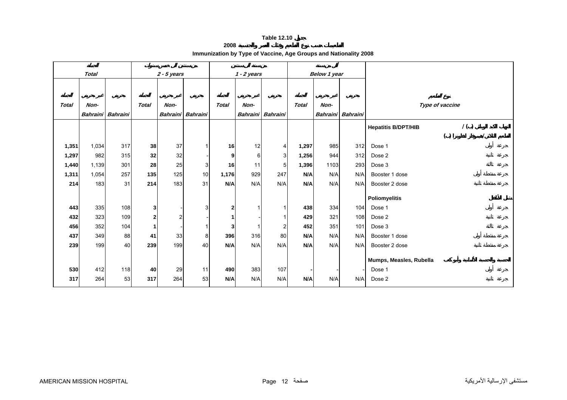**2008**

**Immunization by Type of Vaccine, Age Groups and Nationality 2008** 

<span id="page-11-0"></span>

| <b>Total</b> |                 |                 | $2 - 5$ years |                |                   | $1 - 2$ years  |      |                         | Below 1 year |                   |     |                                   |
|--------------|-----------------|-----------------|---------------|----------------|-------------------|----------------|------|-------------------------|--------------|-------------------|-----|-----------------------------------|
|              |                 |                 |               |                |                   |                |      |                         |              |                   |     |                                   |
| <b>Total</b> | Non-            |                 | <b>Total</b>  | Non-           |                   | <b>Total</b>   | Non- |                         | <b>Total</b> | Non-              |     | Type of vaccine                   |
|              | <b>Bahraini</b> | <b>Bahraini</b> |               |                | Bahraini Bahraini |                |      | Bahraini Bahraini       |              | Bahraini Bahraini |     |                                   |
|              |                 |                 |               |                |                   |                |      |                         |              |                   |     |                                   |
|              |                 |                 |               |                |                   |                |      |                         |              |                   |     | 1()<br><b>Hepatitis B/DPT/HIB</b> |
|              |                 |                 |               |                |                   |                |      |                         |              |                   |     | ( )                               |
| 1,351        | 1,034           | 317             | 38            | 37             |                   | 16             | 12   | 4                       | 1,297        | 985               | 312 | Dose 1                            |
| 1,297        | 982             | 315             | 32            | 32             |                   | 9              | 6    | 3                       | 1,256        | 944               | 312 | Dose 2                            |
| 1,440        | 1,139           | 301             | 28            | 25             | 3                 | 16             | 11   | 5                       | 1,396        | 1103              | 293 | Dose 3                            |
| 1,311        | 1,054           | 257             | 135           | 125            | 10                | 1,176          | 929  | 247                     | N/A          | N/A               | N/A | Booster 1 dose                    |
| 214          | 183             | 31              | 214           | 183            | 31                | N/A            | N/A  | N/A                     | N/A          | N/A               | N/A | Booster 2 dose                    |
|              |                 |                 |               |                |                   |                |      |                         |              |                   |     |                                   |
|              |                 |                 |               |                |                   |                |      |                         |              |                   |     | <b>Poliomyelitis</b>              |
| 443          | 335             | 108             | 3             |                | 3                 | $\overline{2}$ |      |                         | 438          | 334               | 104 | Dose 1                            |
| 432          | 323             | 109             | 2             | $\overline{2}$ |                   |                |      |                         | 429          | 321               | 108 | Dose 2                            |
| 456          | 352             | 104             | 1             |                |                   | 3              |      | $\overline{\mathbf{c}}$ | 452          | 351               | 101 | Dose 3                            |
| 437          | 349             | 88              | 41            | 33             | 8                 | 396            | 316  | 80                      | N/A          | N/A               | N/A | Booster 1 dose                    |
| 239          | 199             | 40              | 239           | 199            | 40                | N/A            | N/A  | N/A                     | N/A          | N/A               | N/A | Booster 2 dose                    |
|              |                 |                 |               |                |                   |                |      |                         |              |                   |     |                                   |
|              |                 |                 |               |                |                   |                |      |                         |              |                   |     | Mumps, Measles, Rubella           |
| 530          | 412             | 118             | 40            | 29             | 11                | 490            | 383  | 107                     |              |                   |     | Dose 1                            |
| 317          | 264             | 53              | 317           | 264            | 53                | N/A            | N/A  | N/A                     | N/A          | N/A               | N/A | Dose 2                            |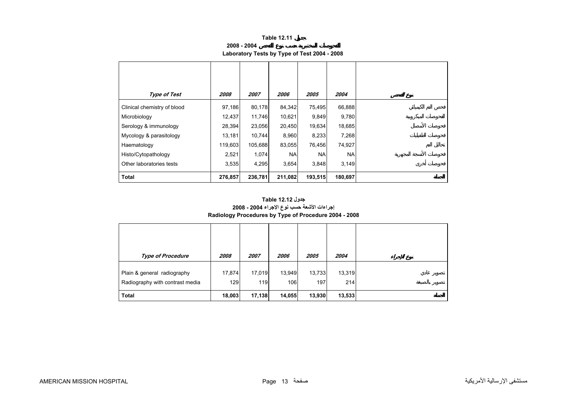**2008 - 2004**

# **Laboratory Tests by Type of Test 2004 - 2008**

<span id="page-12-0"></span>

| <b>Type of Test</b>         | 2008    | 2007    | <i><b>2006</b></i> | <i><b>2005</b></i> | 2004      |
|-----------------------------|---------|---------|--------------------|--------------------|-----------|
| Clinical chemistry of blood | 97,186  | 80,178  | 84,342             | 75,495             | 66,888    |
| Microbiology                | 12,437  | 11,746  | 10,621             | 9,849              | 9,780     |
| Serology & immunology       | 28,394  | 23,056  | 20,450             | 19,634             | 18,685    |
| Mycology & parasitology     | 13,181  | 10.744  | 8,960              | 8,233              | 7,268     |
| Haematology                 | 119,603 | 105,688 | 83,055             | 76,456             | 74,927    |
| Histo/Cytopathology         | 2,521   | 1,074   | <b>NAI</b>         | <b>NA</b>          | <b>NA</b> |
| Other laboratories tests    | 3,535   | 4,295   | 3,654              | 3,848              | 3,149     |
| <b>Total</b>                | 276,857 | 236,781 | 211,082            | 193,515            | 180,697   |

## **إجراءات الأشعة حسب نوع الإجراء 2004 - 2008 Radiology Procedures by Type of Procedure 2004 - 2008 جدول 12.12 Table**

| <b>Type of Procedure</b>                                       | 2008          | 2007          | <i><b>2006</b></i> | 2005          | 2004          |
|----------------------------------------------------------------|---------------|---------------|--------------------|---------------|---------------|
| Plain & general radiography<br>Radiography with contrast media | 17,874<br>129 | 17,019<br>119 | 13,949<br>106      | 13,733<br>197 | 13,319<br>214 |
| <b>Total</b>                                                   | 18,003        | 17,138        | 14,055             | 13,930        | 13,533        |